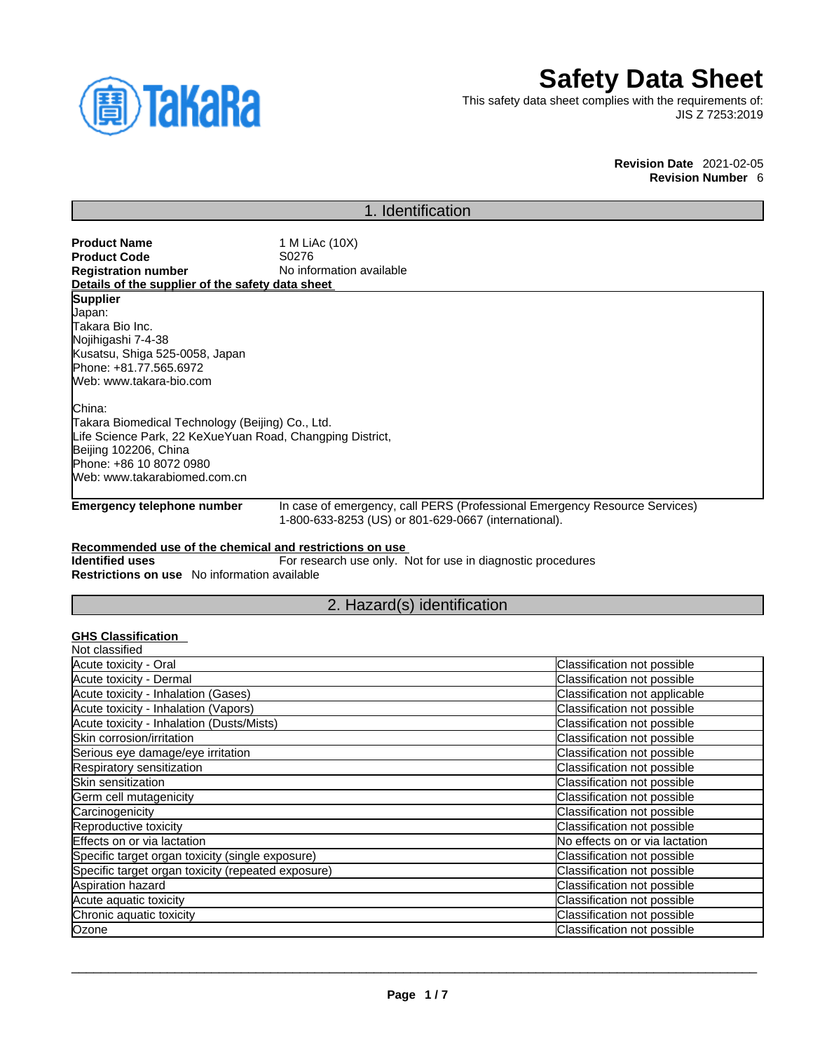

# **Safety Data Sheet**

This safety data sheet complies with the requirements of: JIS Z 7253:2019

#### **Revision Date** 2021-02-05 **Revision Number** 6

# 1. Identification

| <b>Product Name</b>                              | 1 M LiAc (10X)           |
|--------------------------------------------------|--------------------------|
| <b>Product Code</b>                              | S0276                    |
| <b>Registration number</b>                       | No information available |
| Details of the supplier of the safety data sheet |                          |
| <b>Supplier</b>                                  |                          |
| Japan:                                           |                          |
| Takara Bio Inc.                                  |                          |
| Nojihigashi 7-4-38                               |                          |
| Kusatsu, Shiga 525-0058, Japan                   |                          |
| Phone: +81.77.565.6972                           |                          |
| Web: www.takara-bio.com                          |                          |
|                                                  |                          |
|                                                  |                          |

China: Takara Biomedical Technology (Beijing) Co., Ltd. Life Science Park, 22 KeXueYuan Road, Changping District, Beijing 102206, China Phone: +86 10 8072 0980 Web: www.takarabiomed.com.cn

**Emergency telephone number** In case of emergency, call PERS (Professional Emergency Resource Services) 1-800-633-8253 (US) or 801-629-0667 (international).

### **Recommended use of the chemical and restrictions on use**

**Identified uses** For research use only. Not for use in diagnostic procedures **Restrictions on use** No information available

# 2. Hazard(s) identification

### **GHS Classification**

| Classification not possible    |
|--------------------------------|
| Classification not possible    |
| Classification not applicable  |
| Classification not possible    |
| Classification not possible    |
| Classification not possible    |
| Classification not possible    |
| Classification not possible    |
| Classification not possible    |
| Classification not possible    |
| Classification not possible    |
| Classification not possible    |
| No effects on or via lactation |
| Classification not possible    |
| Classification not possible    |
| Classification not possible    |
| Classification not possible    |
| Classification not possible    |
| Classification not possible    |
|                                |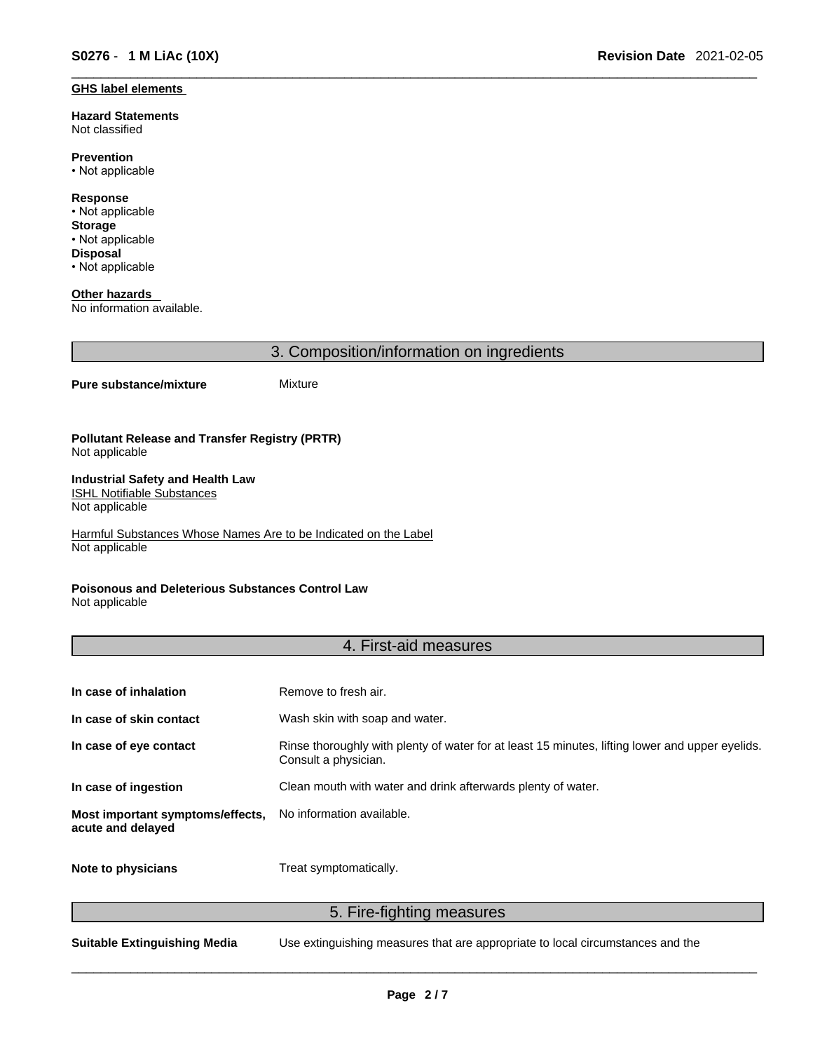#### **GHS label elements**

**Hazard Statements**  Not classified

**Prevention** • Not applicable

**Response** • Not applicable **Storage** • Not applicable **Disposal**

• Not applicable

**Other hazards**  No information available.

3. Composition/information on ingredients

#### **Pure substance/mixture** Mixture

#### **Pollutant Release and Transfer Registry (PRTR)** Not applicable

#### **Industrial Safety and Health Law**  ISHL Notifiable Substances

Not applicable

Harmful Substances Whose Names Are to be Indicated on the Label Not applicable

### **Poisonous and Deleterious Substances Control Law**

Not applicable

# 4. First-aid measures

| In case of inhalation                                 | Remove to fresh air.                                                                                                    |
|-------------------------------------------------------|-------------------------------------------------------------------------------------------------------------------------|
| In case of skin contact                               | Wash skin with soap and water.                                                                                          |
| In case of eye contact                                | Rinse thoroughly with plenty of water for at least 15 minutes, lifting lower and upper eyelids.<br>Consult a physician. |
| In case of ingestion                                  | Clean mouth with water and drink afterwards plenty of water.                                                            |
| Most important symptoms/effects,<br>acute and delayed | No information available.                                                                                               |
| Note to physicians                                    | Treat symptomatically.                                                                                                  |

### 5. Fire-fighting measures

**Suitable Extinguishing Media** Use extinguishing measures that are appropriate to local circumstances and the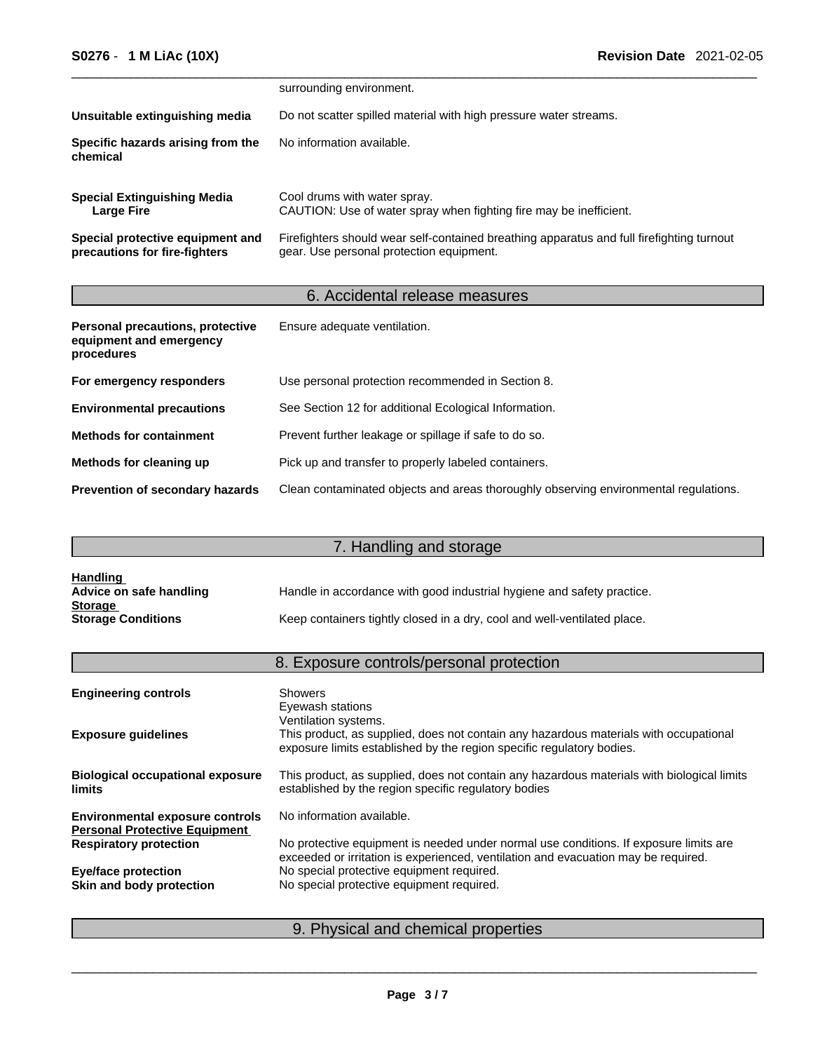|                                                                   | surrounding environment.                                                                                                              |
|-------------------------------------------------------------------|---------------------------------------------------------------------------------------------------------------------------------------|
| Unsuitable extinguishing media                                    | Do not scatter spilled material with high pressure water streams.                                                                     |
| Specific hazards arising from the<br>chemical                     | No information available.                                                                                                             |
| <b>Special Extinguishing Media</b><br><b>Large Fire</b>           | Cool drums with water spray.<br>CAUTION: Use of water spray when fighting fire may be inefficient.                                    |
| Special protective equipment and<br>precautions for fire-fighters | Firefighters should wear self-contained breathing apparatus and full firefighting turnout<br>gear. Use personal protection equipment. |

# 6. Accidental release measures

| Personal precautions, protective<br>equipment and emergency<br>procedures | Ensure adequate ventilation.                                                         |
|---------------------------------------------------------------------------|--------------------------------------------------------------------------------------|
| For emergency responders                                                  | Use personal protection recommended in Section 8.                                    |
| <b>Environmental precautions</b>                                          | See Section 12 for additional Ecological Information.                                |
| <b>Methods for containment</b>                                            | Prevent further leakage or spillage if safe to do so.                                |
| Methods for cleaning up                                                   | Pick up and transfer to properly labeled containers.                                 |
| Prevention of secondary hazards                                           | Clean contaminated objects and areas thoroughly observing environmental regulations. |

# 7. Handling and storage

| <u>Handling</u>           |                                                                          |
|---------------------------|--------------------------------------------------------------------------|
| Advice on safe handling   | Handle in accordance with good industrial hygiene and safety practice.   |
| <b>Storage</b>            |                                                                          |
| <b>Storage Conditions</b> | Keep containers tightly closed in a dry, cool and well-ventilated place. |

# 8. Exposure controls/personal protection

| <b>Engineering controls</b>                                                    | <b>Showers</b><br>Eyewash stations<br>Ventilation systems.                                                                                                                  |
|--------------------------------------------------------------------------------|-----------------------------------------------------------------------------------------------------------------------------------------------------------------------------|
| <b>Exposure guidelines</b>                                                     | This product, as supplied, does not contain any hazardous materials with occupational<br>exposure limits established by the region specific regulatory bodies.              |
| <b>Biological occupational exposure</b><br><b>limits</b>                       | This product, as supplied, does not contain any hazardous materials with biological limits<br>established by the region specific regulatory bodies                          |
| <b>Environmental exposure controls</b><br><b>Personal Protective Equipment</b> | No information available.                                                                                                                                                   |
| <b>Respiratory protection</b>                                                  | No protective equipment is needed under normal use conditions. If exposure limits are<br>exceeded or irritation is experienced, ventilation and evacuation may be required. |
| <b>Eye/face protection</b>                                                     | No special protective equipment required.                                                                                                                                   |
| Skin and body protection                                                       | No special protective equipment required.                                                                                                                                   |
|                                                                                |                                                                                                                                                                             |

# 9. Physical and chemical properties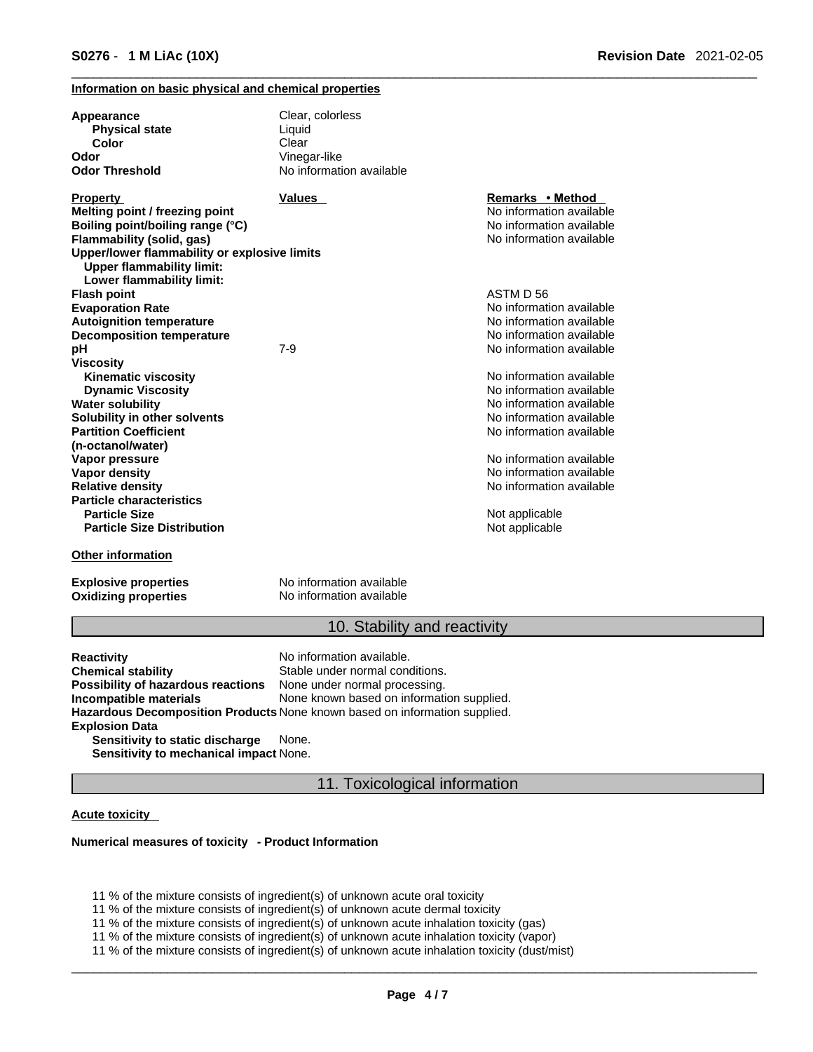#### **Information on basic physical and chemical properties**

| Appearance<br><b>Physical state</b>                                              | Clear, colorless<br>Liquid |                          |  |
|----------------------------------------------------------------------------------|----------------------------|--------------------------|--|
| Color                                                                            | Clear                      |                          |  |
| Odor                                                                             | Vinegar-like               |                          |  |
| <b>Odor Threshold</b>                                                            | No information available   |                          |  |
| <b>Property</b>                                                                  | <b>Values</b>              | Remarks • Method         |  |
| Melting point / freezing point                                                   |                            | No information available |  |
| Boiling point/boiling range (°C)                                                 |                            | No information available |  |
| Flammability (solid, gas)                                                        |                            | No information available |  |
| Upper/lower flammability or explosive limits<br><b>Upper flammability limit:</b> |                            |                          |  |
| Lower flammability limit:                                                        |                            | ASTM D 56                |  |
| <b>Flash point</b>                                                               |                            | No information available |  |
| <b>Evaporation Rate</b><br><b>Autoignition temperature</b>                       |                            | No information available |  |
| <b>Decomposition temperature</b>                                                 |                            | No information available |  |
| pH                                                                               | $7 - 9$                    | No information available |  |
| <b>Viscosity</b>                                                                 |                            |                          |  |
| <b>Kinematic viscosity</b>                                                       |                            | No information available |  |
| <b>Dynamic Viscosity</b>                                                         |                            | No information available |  |
| <b>Water solubility</b>                                                          |                            | No information available |  |
| Solubility in other solvents                                                     |                            | No information available |  |
| <b>Partition Coefficient</b>                                                     |                            | No information available |  |
| (n-octanol/water)                                                                |                            |                          |  |
| Vapor pressure                                                                   |                            | No information available |  |
| <b>Vapor density</b>                                                             |                            | No information available |  |
| <b>Relative density</b>                                                          |                            | No information available |  |
| <b>Particle characteristics</b>                                                  |                            |                          |  |
| <b>Particle Size</b>                                                             |                            | Not applicable           |  |
| <b>Particle Size Distribution</b>                                                |                            | Not applicable           |  |
| <b>Other information</b>                                                         |                            |                          |  |
| <b>Explosive properties</b>                                                      | No information available   |                          |  |
| <b>Oxidizing properties</b>                                                      | No information available   |                          |  |

### 10. Stability and reactivity

**Reactivity Reactivity Reactivity Chemical stability No information available.**<br> **Chemical stability Reaction** Stable under normal cond Stable under normal conditions.<br>None under normal processing. **Possibility of hazardous reactions Incompatible materials** None known based on information supplied. **Hazardous Decomposition Products** None known based on information supplied. **Explosion Data Sensitivity to static discharge** None.

**Sensitivity to mechanical impact** None.

### 11. Toxicological information

#### **Acute toxicity**

#### **Numerical measures of toxicity - Product Information**

11 % of the mixture consists of ingredient(s) of unknown acute oral toxicity

11 % of the mixture consists of ingredient(s) of unknown acute dermal toxicity

11 % of the mixture consists of ingredient(s) of unknown acute inhalation toxicity (gas)

11 % of the mixture consists of ingredient(s) of unknown acute inhalation toxicity (vapor)

11 % of the mixture consists of ingredient(s) of unknown acute inhalation toxicity (dust/mist)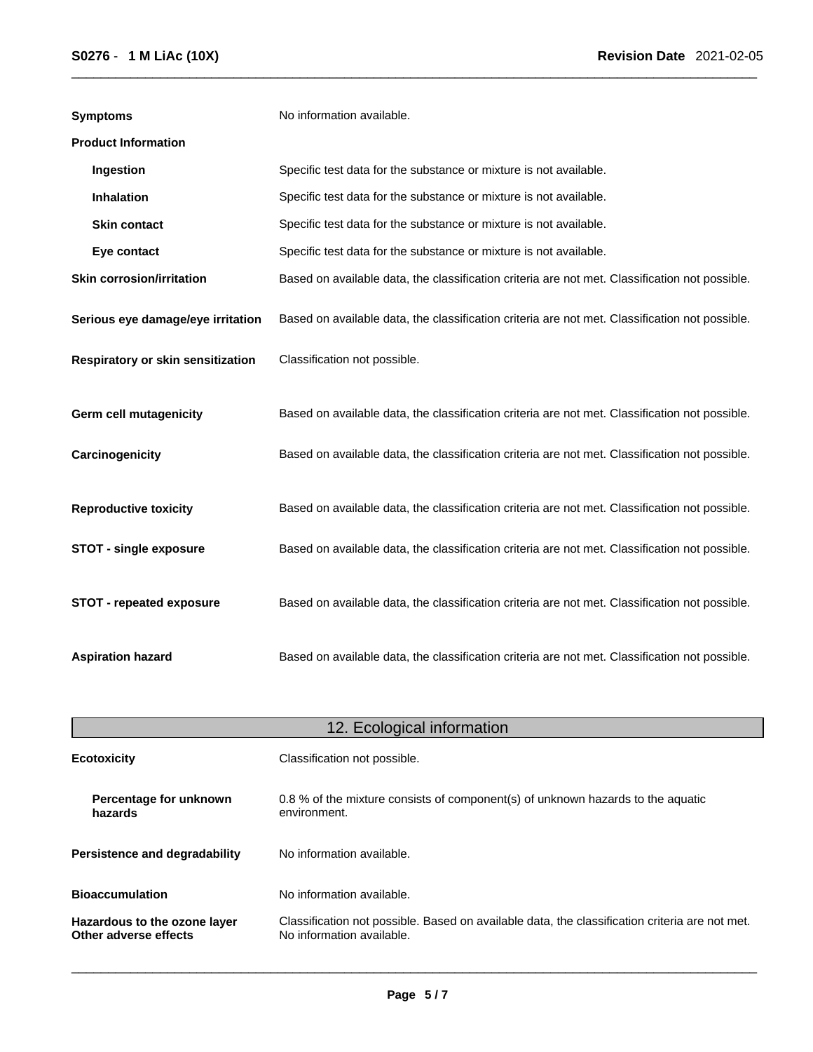| <b>Symptoms</b>                   | No information available.                                                                      |
|-----------------------------------|------------------------------------------------------------------------------------------------|
| <b>Product Information</b>        |                                                                                                |
| Ingestion                         | Specific test data for the substance or mixture is not available.                              |
| <b>Inhalation</b>                 | Specific test data for the substance or mixture is not available.                              |
| <b>Skin contact</b>               | Specific test data for the substance or mixture is not available.                              |
| Eye contact                       | Specific test data for the substance or mixture is not available.                              |
| <b>Skin corrosion/irritation</b>  | Based on available data, the classification criteria are not met. Classification not possible. |
| Serious eye damage/eye irritation | Based on available data, the classification criteria are not met. Classification not possible. |
| Respiratory or skin sensitization | Classification not possible.                                                                   |
| <b>Germ cell mutagenicity</b>     | Based on available data, the classification criteria are not met. Classification not possible. |
| Carcinogenicity                   | Based on available data, the classification criteria are not met. Classification not possible. |
| <b>Reproductive toxicity</b>      | Based on available data, the classification criteria are not met. Classification not possible. |
| <b>STOT - single exposure</b>     | Based on available data, the classification criteria are not met. Classification not possible. |
| STOT - repeated exposure          | Based on available data, the classification criteria are not met. Classification not possible. |
| <b>Aspiration hazard</b>          | Based on available data, the classification criteria are not met. Classification not possible. |

| 12. Ecological information                            |                                                                                                                             |  |
|-------------------------------------------------------|-----------------------------------------------------------------------------------------------------------------------------|--|
| <b>Ecotoxicity</b>                                    | Classification not possible.                                                                                                |  |
| Percentage for unknown<br>hazards                     | 0.8 % of the mixture consists of component(s) of unknown hazards to the aquatic<br>environment.                             |  |
| Persistence and degradability                         | No information available.                                                                                                   |  |
| <b>Bioaccumulation</b>                                | No information available.                                                                                                   |  |
| Hazardous to the ozone layer<br>Other adverse effects | Classification not possible. Based on available data, the classification criteria are not met.<br>No information available. |  |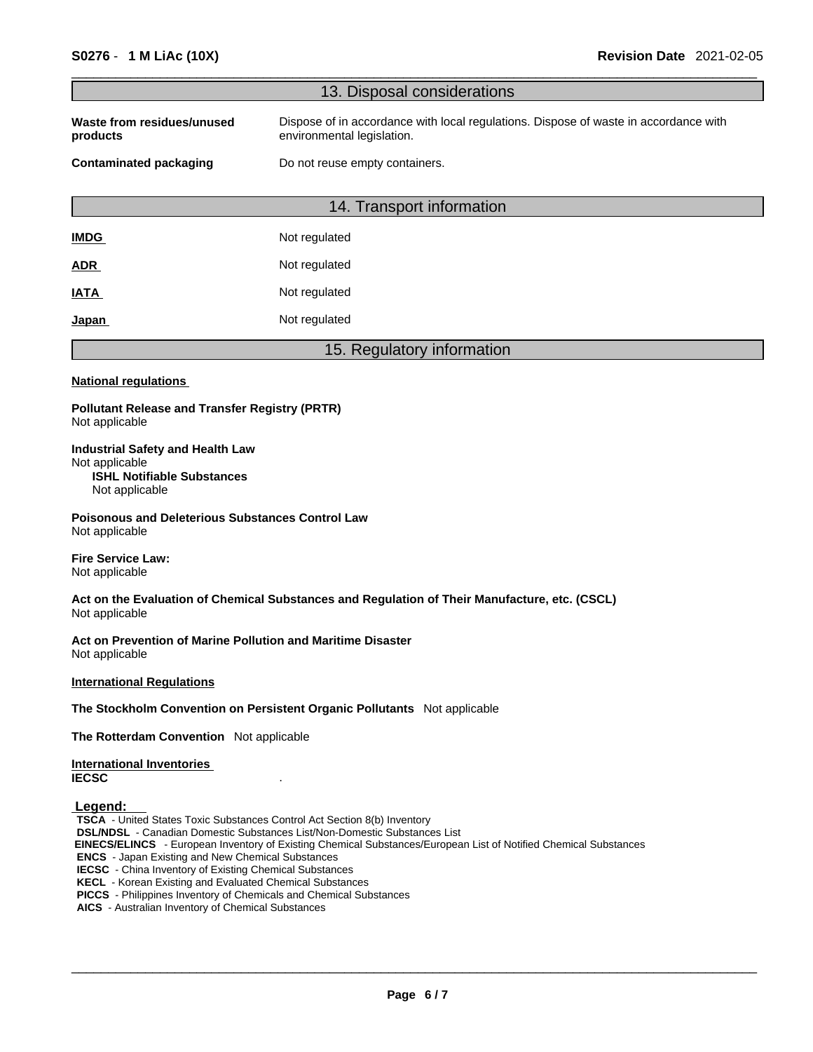| 13. Disposal considerations<br>Dispose of in accordance with local regulations. Dispose of waste in accordance with<br>Waste from residues/unused<br>environmental legislation.<br>products<br>Do not reuse empty containers.<br><b>Contaminated packaging</b><br>14. Transport information<br>Not regulated<br><b>IMDG</b><br>Not regulated<br><u>ADR</u><br>Not regulated<br>IATA<br>Not regulated<br>Japan<br>15. Regulatory information<br><b>National regulations</b><br><b>Pollutant Release and Transfer Registry (PRTR)</b><br>Not applicable<br><b>Industrial Safety and Health Law</b><br>Not applicable<br><b>ISHL Notifiable Substances</b><br>Not applicable<br><b>Poisonous and Deleterious Substances Control Law</b><br>Not applicable |
|--------------------------------------------------------------------------------------------------------------------------------------------------------------------------------------------------------------------------------------------------------------------------------------------------------------------------------------------------------------------------------------------------------------------------------------------------------------------------------------------------------------------------------------------------------------------------------------------------------------------------------------------------------------------------------------------------------------------------------------------------------|
|                                                                                                                                                                                                                                                                                                                                                                                                                                                                                                                                                                                                                                                                                                                                                        |
|                                                                                                                                                                                                                                                                                                                                                                                                                                                                                                                                                                                                                                                                                                                                                        |
|                                                                                                                                                                                                                                                                                                                                                                                                                                                                                                                                                                                                                                                                                                                                                        |
|                                                                                                                                                                                                                                                                                                                                                                                                                                                                                                                                                                                                                                                                                                                                                        |
|                                                                                                                                                                                                                                                                                                                                                                                                                                                                                                                                                                                                                                                                                                                                                        |
|                                                                                                                                                                                                                                                                                                                                                                                                                                                                                                                                                                                                                                                                                                                                                        |
|                                                                                                                                                                                                                                                                                                                                                                                                                                                                                                                                                                                                                                                                                                                                                        |
|                                                                                                                                                                                                                                                                                                                                                                                                                                                                                                                                                                                                                                                                                                                                                        |
|                                                                                                                                                                                                                                                                                                                                                                                                                                                                                                                                                                                                                                                                                                                                                        |
|                                                                                                                                                                                                                                                                                                                                                                                                                                                                                                                                                                                                                                                                                                                                                        |
|                                                                                                                                                                                                                                                                                                                                                                                                                                                                                                                                                                                                                                                                                                                                                        |
|                                                                                                                                                                                                                                                                                                                                                                                                                                                                                                                                                                                                                                                                                                                                                        |
|                                                                                                                                                                                                                                                                                                                                                                                                                                                                                                                                                                                                                                                                                                                                                        |
| <b>Fire Service Law:</b><br>Not applicable                                                                                                                                                                                                                                                                                                                                                                                                                                                                                                                                                                                                                                                                                                             |
| Act on the Evaluation of Chemical Substances and Regulation of Their Manufacture, etc. (CSCL)<br>Not applicable                                                                                                                                                                                                                                                                                                                                                                                                                                                                                                                                                                                                                                        |
| Act on Prevention of Marine Pollution and Maritime Disaster<br>Not applicable                                                                                                                                                                                                                                                                                                                                                                                                                                                                                                                                                                                                                                                                          |
| <b>International Regulations</b>                                                                                                                                                                                                                                                                                                                                                                                                                                                                                                                                                                                                                                                                                                                       |
| The Stockholm Convention on Persistent Organic Pollutants Not applicable                                                                                                                                                                                                                                                                                                                                                                                                                                                                                                                                                                                                                                                                               |
| The Rotterdam Convention Not applicable                                                                                                                                                                                                                                                                                                                                                                                                                                                                                                                                                                                                                                                                                                                |
| <b>International Inventories</b><br><b>IECSC</b>                                                                                                                                                                                                                                                                                                                                                                                                                                                                                                                                                                                                                                                                                                       |
| Legend:<br><b>TSCA</b> - United States Toxic Substances Control Act Section 8(b) Inventory<br><b>DSL/NDSL</b> - Canadian Domestic Substances List/Non-Domestic Substances List<br><b>EINECS/ELINCS</b> - European Inventory of Existing Chemical Substances/European List of Notified Chemical Substances<br><b>ENCS</b> - Japan Existing and New Chemical Substances<br><b>IECSC</b> - China Inventory of Existing Chemical Substances<br><b>KECL</b> - Korean Existing and Evaluated Chemical Substances<br>PICCS - Philippines Inventory of Chemicals and Chemical Substances<br>AICS - Australian Inventory of Chemical Substances                                                                                                                 |